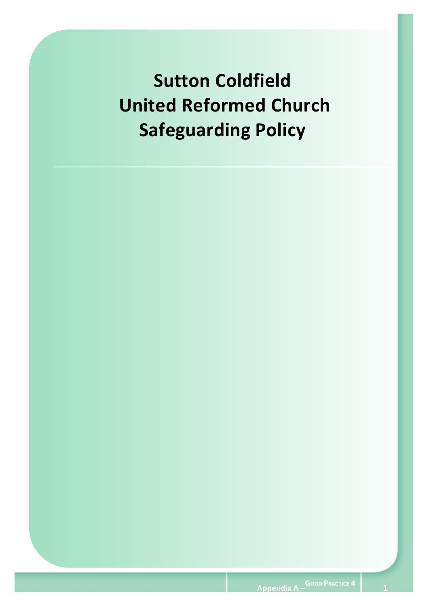**Sutton Coldfield United Reformed Church Safeguarding Policy**

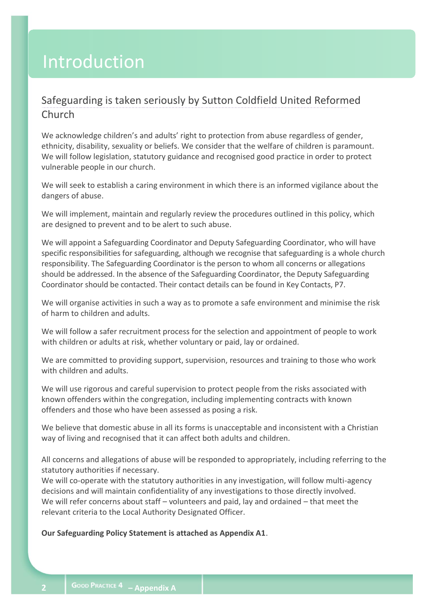# Introduction

#### Safeguarding is taken seriously by Sutton Coldfield United Reformed Church

We acknowledge children's and adults' right to protection from abuse regardless of gender, ethnicity, disability, sexuality or beliefs. We consider that the welfare of children is paramount. We will follow legislation, statutory guidance and recognised good practice in order to protect vulnerable people in our church.

We will seek to establish a caring environment in which there is an informed vigilance about the dangers of abuse.

We will implement, maintain and regularly review the procedures outlined in this policy, which are designed to prevent and to be alert to such abuse.

We will appoint a Safeguarding Coordinator and Deputy Safeguarding Coordinator, who will have specific responsibilities for safeguarding, although we recognise that safeguarding is a whole church responsibility. The Safeguarding Coordinator is the person to whom all concerns or allegations should be addressed. In the absence of the Safeguarding Coordinator, the Deputy Safeguarding Coordinator should be contacted. Their contact details can be found in Key Contacts, P7.

We will organise activities in such a way as to promote a safe environment and minimise the risk of harm to children and adults.

We will follow a safer recruitment process for the selection and appointment of people to work with children or adults at risk, whether voluntary or paid, lay or ordained.

We are committed to providing support, supervision, resources and training to those who work with children and adults.

We will use rigorous and careful supervision to protect people from the risks associated with known offenders within the congregation, including implementing contracts with known offenders and those who have been assessed as posing a risk.

We believe that domestic abuse in all its forms is unacceptable and inconsistent with a Christian way of living and recognised that it can affect both adults and children.

All concerns and allegations of abuse will be responded to appropriately, including referring to the statutory authorities if necessary.

We will co-operate with the statutory authorities in any investigation, will follow multi-agency decisions and will maintain confidentiality of any investigations to those directly involved. We will refer concerns about staff – volunteers and paid, lay and ordained – that meet the relevant criteria to the Local Authority Designated Officer.

**Our Safeguarding Policy Statement is attached as Appendix A1**.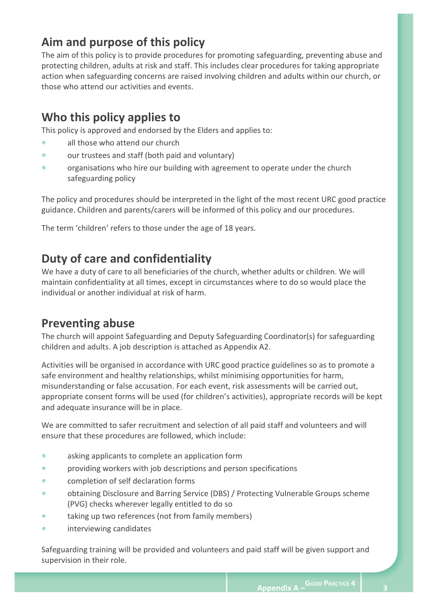## **Aim and purpose of this policy**

The aim of this policy is to provide procedures for promoting safeguarding, preventing abuse and protecting children, adults at risk and staff. This includes clear procedures for taking appropriate action when safeguarding concerns are raised involving children and adults within our church, or those who attend our activities and events.

## **Who this policy applies to**

This policy is approved and endorsed by the Elders and applies to:

- all those who attend our church
- our trustees and staff (both paid and voluntary)
- **•** organisations who hire our building with agreement to operate under the church safeguarding policy

The policy and procedures should be interpreted in the light of the most recent URC good practice guidance. Children and parents/carers will be informed of this policy and our procedures.

The term 'children' refers to those under the age of 18 years.

## **Duty of care and confidentiality**

We have a duty of care to all beneficiaries of the church, whether adults or children. We will maintain confidentiality at all times, except in circumstances where to do so would place the individual or another individual at risk of harm.

### **Preventing abuse**

The church will appoint Safeguarding and Deputy Safeguarding Coordinator(s) for safeguarding children and adults. A job description is attached as Appendix A2.

Activities will be organised in accordance with URC good practice guidelines so as to promote a safe environment and healthy relationships, whilst minimising opportunities for harm, misunderstanding or false accusation. For each event, risk assessments will be carried out, appropriate consent forms will be used (for children's activities), appropriate records will be kept and adequate insurance will be in place.

We are committed to safer recruitment and selection of all paid staff and volunteers and will ensure that these procedures are followed, which include:

- asking applicants to complete an application form
- providing workers with job descriptions and person specifications
- completion of self declaration forms
- obtaining Disclosure and Barring Service (DBS) / Protecting Vulnerable Groups scheme (PVG) checks wherever legally entitled to do so
- taking up two references (not from family members)
- interviewing candidates

Safeguarding training will be provided and volunteers and paid staff will be given support and supervision in their role.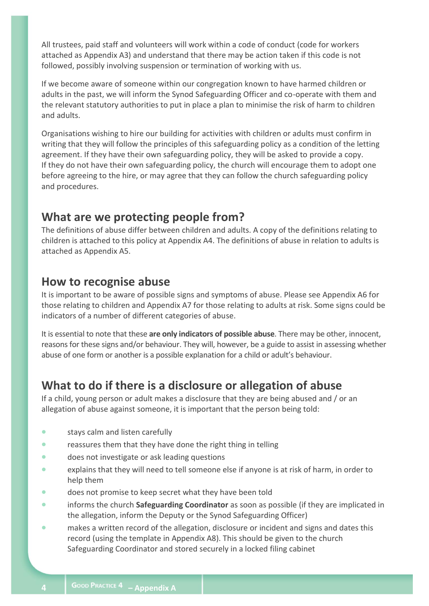All trustees, paid staff and volunteers will work within a code of conduct (code for workers attached as Appendix A3) and understand that there may be action taken if this code is not followed, possibly involving suspension or termination of working with us.

If we become aware of someone within our congregation known to have harmed children or adults in the past, we will inform the Synod Safeguarding Officer and co-operate with them and the relevant statutory authorities to put in place a plan to minimise the risk of harm to children and adults.

Organisations wishing to hire our building for activities with children or adults must confirm in writing that they will follow the principles of this safeguarding policy as a condition of the letting agreement. If they have their own safeguarding policy, they will be asked to provide a copy. If they do not have their own safeguarding policy, the church will encourage them to adopt one before agreeing to the hire, or may agree that they can follow the church safeguarding policy and procedures.

#### **What are we protecting people from?**

The definitions of abuse differ between children and adults. A copy of the definitions relating to children is attached to this policy at Appendix A4. The definitions of abuse in relation to adults is attached as Appendix A5.

#### **How to recognise abuse**

It is important to be aware of possible signs and symptoms of abuse. Please see Appendix A6 for those relating to children and Appendix A7 for those relating to adults at risk. Some signs could be indicators of a number of different categories of abuse.

It is essential to note that these **are only indicators of possible abuse**. There may be other, innocent, reasons for these signs and/or behaviour. They will, however, be a guide to assist in assessing whether abuse of one form or another is a possible explanation for a child or adult's behaviour.

### **What to do if there is a disclosure or allegation of abuse**

If a child, young person or adult makes a disclosure that they are being abused and / or an allegation of abuse against someone, it is important that the person being told:

- stays calm and listen carefully
- reassures them that they have done the right thing in telling
- does not investigate or ask leading questions
- explains that they will need to tell someone else if anyone is at risk of harm, in order to help them
- does not promise to keep secret what they have been told
- **informs the church Safeguarding Coordinator** as soon as possible (if they are implicated in the allegation, inform the Deputy or the Synod Safeguarding Officer)
- makes a written record of the allegation, disclosure or incident and signs and dates this record (using the template in Appendix A8). This should be given to the church Safeguarding Coordinator and stored securely in a locked filing cabinet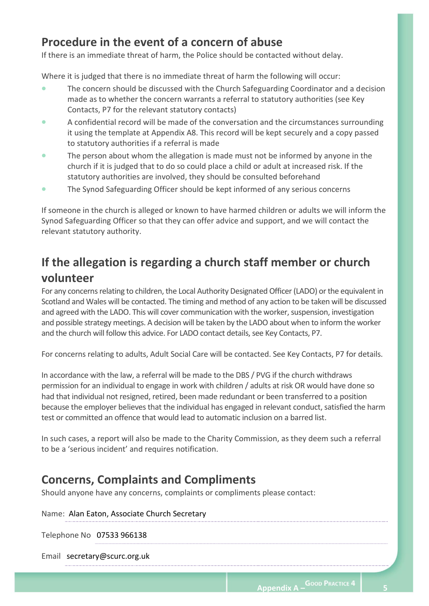### **Procedure in the event of a concern of abuse**

If there is an immediate threat of harm, the Police should be contacted without delay.

Where it is judged that there is no immediate threat of harm the following will occur:

- The concern should be discussed with the Church Safeguarding Coordinator and a decision made as to whether the concern warrants a referral to statutory authorities (see Key Contacts, P7 for the relevant statutory contacts)
- A confidential record will be made of the conversation and the circumstances surrounding it using the template at Appendix A8. This record will be kept securely and a copy passed to statutory authorities if a referral is made
- The person about whom the allegation is made must not be informed by anyone in the church if it is judged that to do so could place a child or adult at increased risk. If the statutory authorities are involved, they should be consulted beforehand
- The Synod Safeguarding Officer should be kept informed of any serious concerns

If someone in the church is alleged or known to have harmed children or adults we will inform the Synod Safeguarding Officer so that they can offer advice and support, and we will contact the relevant statutory authority.

## **If the allegation is regarding a church staff member or church volunteer**

For any concerns relating to children, the Local Authority Designated Officer (LADO) or the equivalent in Scotland and Wales will be contacted. The timing and method of any action to be taken will be discussed and agreed with the LADO. This will cover communication with the worker, suspension, investigation and possible strategy meetings. A decision will be taken by the LADO about when to inform the worker and the church will follow this advice. For LADO contact details, see Key Contacts, P7.

For concerns relating to adults, Adult Social Care will be contacted. See Key Contacts, P7 for details.

In accordance with the law, a referral will be made to the DBS / PVG if the church withdraws permission for an individual to engage in work with children / adults at risk OR would have done so had that individual not resigned, retired, been made redundant or been transferred to a position because the employer believes that the individual has engaged in relevant conduct, satisfied the harm test or committed an offence that would lead to automatic inclusion on a barred list.

In such cases, a report will also be made to the Charity Commission, as they deem such a referral to be a 'serious incident' and requires notification.

## **Concerns, Complaints and Compliments**

Should anyone have any concerns, complaints or compliments please contact:

#### Name: Alan Eaton, Associate Church Secretary

Telephone No 07533 966138

Email secretary@scurc.org.uk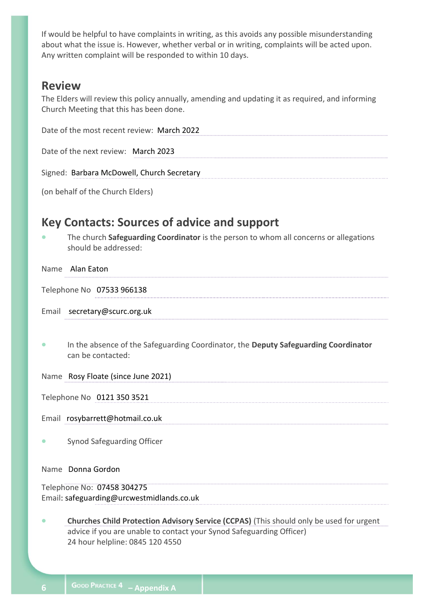If would be helpful to have complaints in writing, as this avoids any possible misunderstanding about what the issue is. However, whether verbal or in writing, complaints will be acted upon. Any written complaint will be responded to within 10 days.

#### **Review**

The Elders will review this policy annually, amending and updating it as required, and informing Church Meeting that this has been done.

Date of the most recent review: March 2022

Date of the next review: March 2023

Signed: Barbara McDowell, Church Secretary

(on behalf of the Church Elders)

#### **Key Contacts: Sources of advice and support**

• The church **Safeguarding Coordinator** is the person to whom all concerns or allegations should be addressed:

Name Alan Eaton

Telephone No 07533 966138

Email secretary@scurc.org.uk

• In the absence of the Safeguarding Coordinator, the **Deputy Safeguarding Coordinator** can be contacted:

Name Rosy Floate (since June 2021)

Telephone No 0121 350 3521

Email rosybarrett@hotmail.co.uk

Synod Safeguarding Officer

Name Donna Gordon

Telephone No: 07458 304275 Email: safeguarding@urcwestmidlands.co.uk

• **Churches Child Protection Advisory Service (CCPAS)** (This should only be used for urgent advice if you are unable to contact your Synod Safeguarding Officer) 24 hour helpline: 0845 120 4550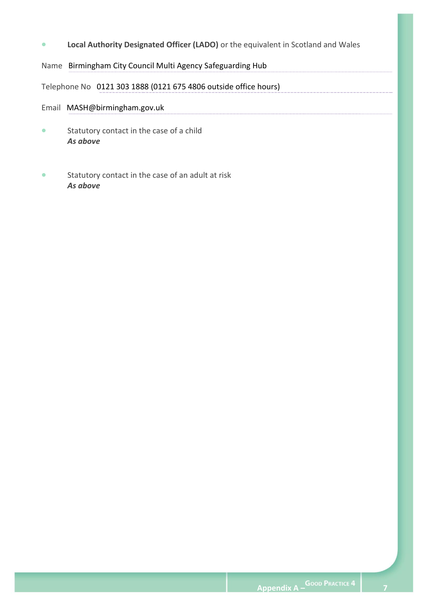• **Local Authority Designated Officer (LADO)** or the equivalent in Scotland and Wales

Name Birmingham City Council Multi Agency Safeguarding Hub

Telephone No 0121 303 1888 (0121 675 4806 outside office hours)

Email MASH@birmingham.gov.uk

- Statutory contact in the case of a child *As above*
- Statutory contact in the case of an adult at risk *As above*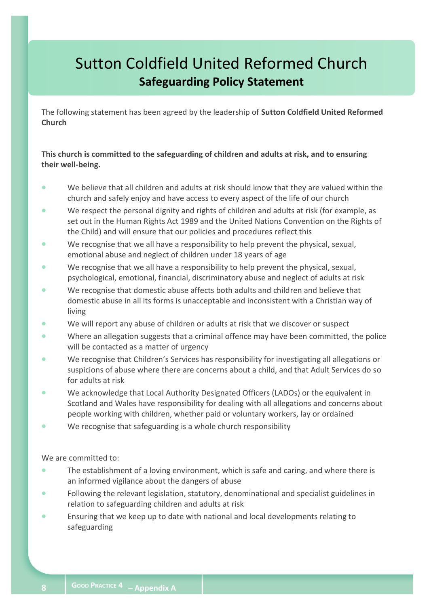## Sutton Coldfield United Reformed Church **Safeguarding Policy Statement**

The following statement has been agreed by the leadership of **Sutton Coldfield United Reformed Church**

#### **This church is committed to the safeguarding of children and adults at risk, and to ensuring their well-being.**

- We believe that all children and adults at risk should know that they are valued within the church and safely enjoy and have access to every aspect of the life of our church
- We respect the personal dignity and rights of children and adults at risk (for example, as set out in the Human Rights Act 1989 and the United Nations Convention on the Rights of the Child) and will ensure that our policies and procedures reflect this
- We recognise that we all have a responsibility to help prevent the physical, sexual, emotional abuse and neglect of children under 18 years of age
- We recognise that we all have a responsibility to help prevent the physical, sexual, psychological, emotional, financial, discriminatory abuse and neglect of adults at risk
- We recognise that domestic abuse affects both adults and children and believe that domestic abuse in all its forms is unacceptable and inconsistent with a Christian way of living
- We will report any abuse of children or adults at risk that we discover or suspect
- Where an allegation suggests that a criminal offence may have been committed, the police will be contacted as a matter of urgency
- We recognise that Children's Services has responsibility for investigating all allegations or suspicions of abuse where there are concerns about a child, and that Adult Services do so for adults at risk
- We acknowledge that Local Authority Designated Officers (LADOs) or the equivalent in Scotland and Wales have responsibility for dealing with all allegations and concerns about people working with children, whether paid or voluntary workers, lay or ordained
- We recognise that safeguarding is a whole church responsibility

We are committed to:

- The establishment of a loving environment, which is safe and caring, and where there is an informed vigilance about the dangers of abuse
- Following the relevant legislation, statutory, denominational and specialist guidelines in relation to safeguarding children and adults at risk
- Ensuring that we keep up to date with national and local developments relating to safeguarding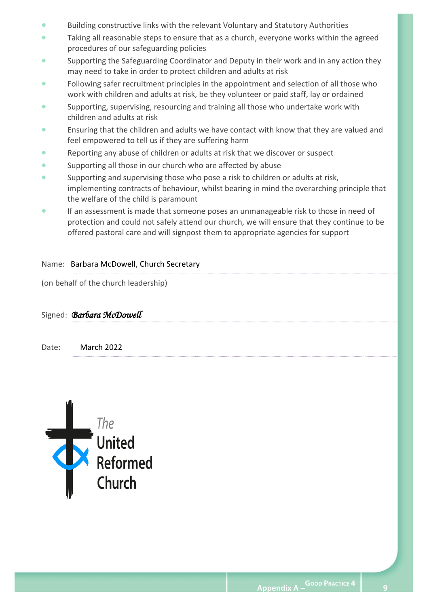- Building constructive links with the relevant Voluntary and Statutory Authorities
- Taking all reasonable steps to ensure that as a church, everyone works within the agreed procedures of our safeguarding policies
- Supporting the Safeguarding Coordinator and Deputy in their work and in any action they may need to take in order to protect children and adults at risk
- Following safer recruitment principles in the appointment and selection of all those who work with children and adults at risk, be they volunteer or paid staff, lay or ordained
- Supporting, supervising, resourcing and training all those who undertake work with children and adults at risk
- Ensuring that the children and adults we have contact with know that they are valued and feel empowered to tell us if they are suffering harm
- Reporting any abuse of children or adults at risk that we discover or suspect
- Supporting all those in our church who are affected by abuse
- Supporting and supervising those who pose a risk to children or adults at risk, implementing contracts of behaviour, whilst bearing in mind the overarching principle that the welfare of the child is paramount
- **•** If an assessment is made that someone poses an unmanageable risk to those in need of protection and could not safely attend our church, we will ensure that they continue to be offered pastoral care and will signpost them to appropriate agencies for support

#### Name: Barbara McDowell, Church Secretary

(on behalf of the church leadership)

|  | Signed: Barbara McDowell |
|--|--------------------------|
|--|--------------------------|

Date: March 2022

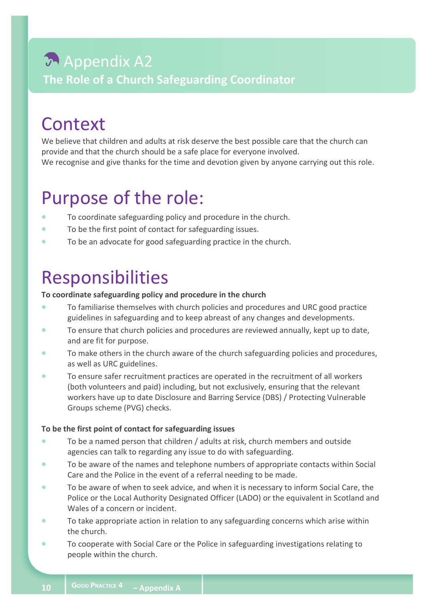## Appendix A2 **The Role of a Church Safeguarding Coordinator**

# **Context**

We believe that children and adults at risk deserve the best possible care that the church can provide and that the church should be a safe place for everyone involved. We recognise and give thanks for the time and devotion given by anyone carrying out this role.

# Purpose of the role:

- To coordinate safeguarding policy and procedure in the church.
- To be the first point of contact for safeguarding issues.
- To be an advocate for good safeguarding practice in the church.

# Responsibilities

#### **To coordinate safeguarding policy and procedure in the church**

- To familiarise themselves with church policies and procedures and URC good practice guidelines in safeguarding and to keep abreast of any changes and developments.
- To ensure that church policies and procedures are reviewed annually, kept up to date, and are fit for purpose.
- To make others in the church aware of the church safeguarding policies and procedures, as well as URC guidelines.
- To ensure safer recruitment practices are operated in the recruitment of all workers (both volunteers and paid) including, but not exclusively, ensuring that the relevant workers have up to date Disclosure and Barring Service (DBS) / Protecting Vulnerable Groups scheme (PVG) checks.

#### **To be the first point of contact for safeguarding issues**

- To be a named person that children / adults at risk, church members and outside agencies can talk to regarding any issue to do with safeguarding.
- To be aware of the names and telephone numbers of appropriate contacts within Social Care and the Police in the event of a referral needing to be made.
- To be aware of when to seek advice, and when it is necessary to inform Social Care, the Police or the Local Authority Designated Officer (LADO) or the equivalent in Scotland and Wales of a concern or incident.
- To take appropriate action in relation to any safeguarding concerns which arise within the church.
- To cooperate with Social Care or the Police in safeguarding investigations relating to people within the church.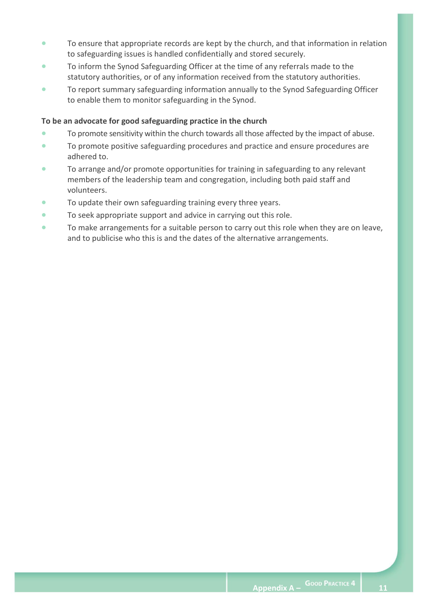- To ensure that appropriate records are kept by the church, and that information in relation to safeguarding issues is handled confidentially and stored securely.
- To inform the Synod Safeguarding Officer at the time of any referrals made to the statutory authorities, or of any information received from the statutory authorities.
- To report summary safeguarding information annually to the Synod Safeguarding Officer to enable them to monitor safeguarding in the Synod.

#### **To be an advocate for good safeguarding practice in the church**

- To promote sensitivity within the church towards all those affected by the impact of abuse.
- To promote positive safeguarding procedures and practice and ensure procedures are adhered to.
- To arrange and/or promote opportunities for training in safeguarding to any relevant members of the leadership team and congregation, including both paid staff and volunteers.
- To update their own safeguarding training every three years.
- To seek appropriate support and advice in carrying out this role.
- To make arrangements for a suitable person to carry out this role when they are on leave, and to publicise who this is and the dates of the alternative arrangements.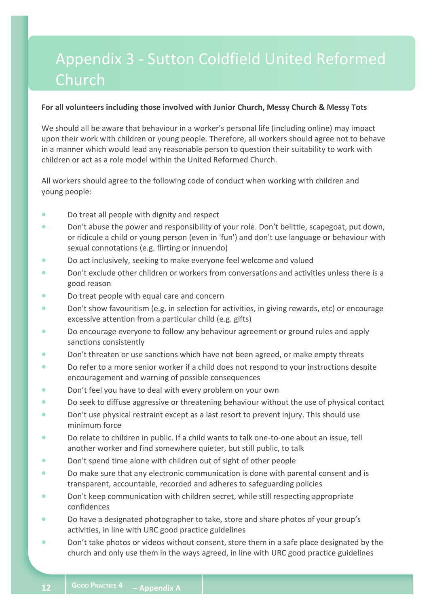## Appendix 3 - Sutton Coldfield United Reformed Church

#### For all volunteers including those involved with Junior Church, Messy Church & Messy Tots

We should all be aware that behaviour in a worker's personal life (including online) may impact upon their work with children or young people. Therefore, all workers should agree not to behave in a manner which would lead any reasonable person to question their suitability to work with children or act as a role model within the United Reformed Church.

All workers should agree to the following code of conduct when working with children and young people:

- Do treat all people with dignity and respect
- Don't abuse the power and responsibility of your role. Don't belittle, scapegoat, put down, or ridicule a child or young person (even in 'fun') and don't use language or behaviour with sexual connotations (e.g. flirting or innuendo)
- Do act inclusively, seeking to make everyone feel welcome and valued
- Don't exclude other children or workers from conversations and activities unless there is a good reason
- Do treat people with equal care and concern
- Don't show favouritism (e.g. in selection for activities, in giving rewards, etc) or encourage excessive attention from a particular child (e.g. gifts)
- Do encourage everyone to follow any behaviour agreement or ground rules and apply sanctions consistently
- Don't threaten or use sanctions which have not been agreed, or make empty threats
- Do refer to a more senior worker if a child does not respond to your instructions despite encouragement and warning of possible consequences
- Don't feel you have to deal with every problem on your own
- Do seek to diffuse aggressive or threatening behaviour without the use of physical contact
- Don't use physical restraint except as a last resort to prevent injury. This should use minimum force
- Do relate to children in public. If a child wants to talk one-to-one about an issue, tell another worker and find somewhere quieter, but still public, to talk
- Don't spend time alone with children out of sight of other people
- Do make sure that any electronic communication is done with parental consent and is transparent, accountable, recorded and adheres to safeguarding policies
- Don't keep communication with children secret, while still respecting appropriate confidences
- Do have a designated photographer to take, store and share photos of your group's activities, in line with URC good practice guidelines
- Don't take photos or videos without consent, store them in a safe place designated by the church and only use them in the ways agreed, in line with URC good practice guidelines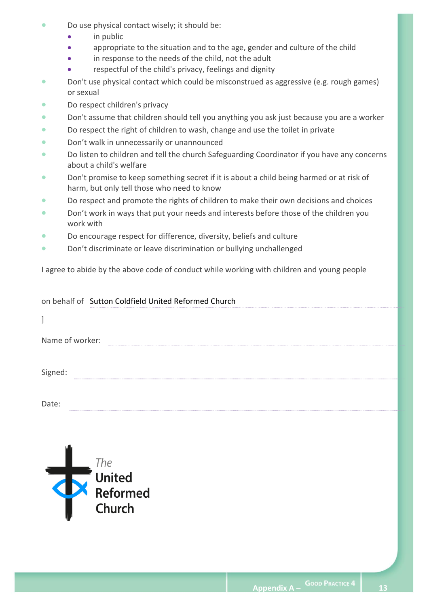- Do use physical contact wisely; it should be:
	- in public
	- appropriate to the situation and to the age, gender and culture of the child
	- in response to the needs of the child, not the adult
	- respectful of the child's privacy, feelings and dignity
- Don't use physical contact which could be misconstrued as aggressive (e.g. rough games) or sexual
- Do respect children's privacy
- Don't assume that children should tell you anything you ask just because you are a worker
- Do respect the right of children to wash, change and use the toilet in private
- Don't walk in unnecessarily or unannounced
- Do listen to children and tell the church Safeguarding Coordinator if you have any concerns about a child's welfare
- Don't promise to keep something secret if it is about a child being harmed or at risk of harm, but only tell those who need to know
- Do respect and promote the rights of children to make their own decisions and choices
- Don't work in ways that put your needs and interests before those of the children you work with
- Do encourage respect for difference, diversity, beliefs and culture
- Don't discriminate or leave discrimination or bullying unchallenged

I agree to abide by the above code of conduct while working with children and young people

#### on behalf of Sutton Coldfield United Reformed Church

| J               |  |  |
|-----------------|--|--|
| Name of worker: |  |  |
| Signed:         |  |  |
| Date:           |  |  |

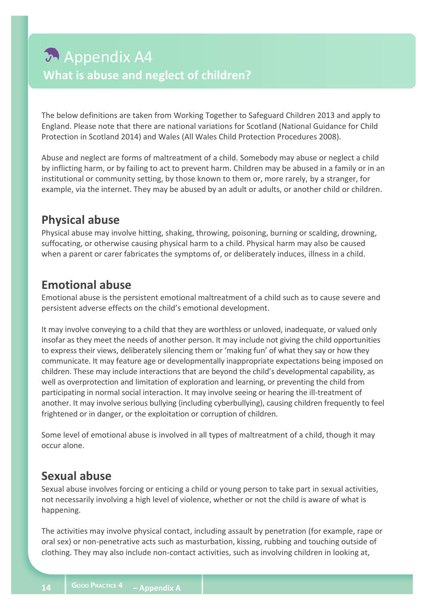## Appendix A4 **What is abuse and neglect of children?**

The below definitions are taken from Working Together to Safeguard Children 2013 and apply to England. Please note that there are national variations for Scotland (National Guidance for Child Protection in Scotland 2014) and Wales (All Wales Child Protection Procedures 2008).

Abuse and neglect are forms of maltreatment of a child. Somebody may abuse or neglect a child by inflicting harm, or by failing to act to prevent harm. Children may be abused in a family or in an institutional or community setting, by those known to them or, more rarely, by a stranger, for example, via the internet. They may be abused by an adult or adults, or another child or children.

#### **Physical abuse**

Physical abuse may involve hitting, shaking, throwing, poisoning, burning or scalding, drowning, suffocating, or otherwise causing physical harm to a child. Physical harm may also be caused when a parent or carer fabricates the symptoms of, or deliberately induces, illness in a child.

### **Emotional abuse**

Emotional abuse is the persistent emotional maltreatment of a child such as to cause severe and persistent adverse effects on the child's emotional development.

It may involve conveying to a child that they are worthless or unloved, inadequate, or valued only insofar as they meet the needs of another person. It may include not giving the child opportunities to express their views, deliberately silencing them or 'making fun' of what they say or how they communicate. It may feature age or developmentally inappropriate expectations being imposed on children. These may include interactions that are beyond the child's developmental capability, as well as overprotection and limitation of exploration and learning, or preventing the child from participating in normal social interaction. It may involve seeing or hearing the ill-treatment of another. It may involve serious bullying (including cyberbullying), causing children frequently to feel frightened or in danger, or the exploitation or corruption of children.

Some level of emotional abuse is involved in all types of maltreatment of a child, though it may occur alone.

#### **Sexual abuse**

Sexual abuse involves forcing or enticing a child or young person to take part in sexual activities, not necessarily involving a high level of violence, whether or not the child is aware of what is happening.

The activities may involve physical contact, including assault by penetration (for example, rape or oral sex) or non-penetrative acts such as masturbation, kissing, rubbing and touching outside of clothing. They may also include non-contact activities, such as involving children in looking at,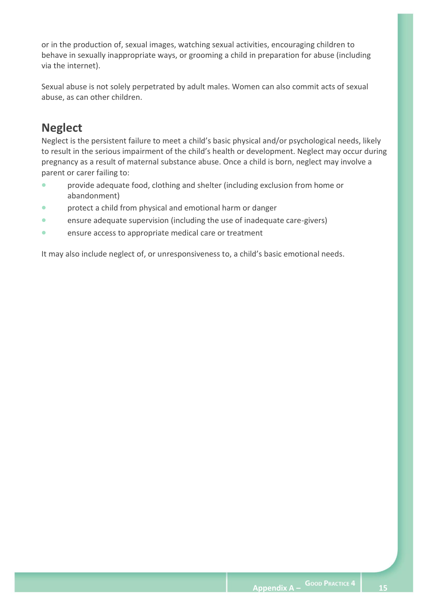or in the production of, sexual images, watching sexual activities, encouraging children to behave in sexually inappropriate ways, or grooming a child in preparation for abuse (including via the internet).

Sexual abuse is not solely perpetrated by adult males. Women can also commit acts of sexual abuse, as can other children.

## **Neglect**

Neglect is the persistent failure to meet a child's basic physical and/or psychological needs, likely to result in the serious impairment of the child's health or development. Neglect may occur during pregnancy as a result of maternal substance abuse. Once a child is born, neglect may involve a parent or carer failing to:

- provide adequate food, clothing and shelter (including exclusion from home or abandonment)
- **•** protect a child from physical and emotional harm or danger
- ensure adequate supervision (including the use of inadequate care-givers)
- ensure access to appropriate medical care or treatment

It may also include neglect of, or unresponsiveness to, a child's basic emotional needs.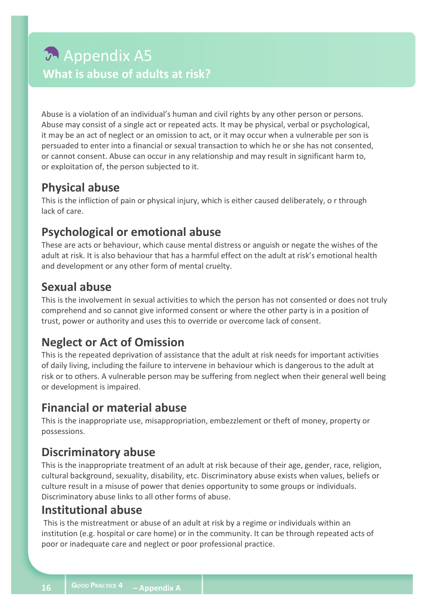## **Appendix A5 What is abuse of adults at risk?**

Abuse is a violation of an individual's human and civil rights by any other person or persons. Abuse may consist of a single act or repeated acts. It may be physical, verbal or psychological, it may be an act of neglect or an omission to act, or it may occur when a vulnerable per son is persuaded to enter into a financial or sexual transaction to which he or she has not consented, or cannot consent. Abuse can occur in any relationship and may result in significant harm to, or exploitation of, the person subjected to it.

### **Physical abuse**

This is the infliction of pain or physical injury, which is either caused deliberately, o r through lack of care.

#### **Psychological or emotional abuse**

These are acts or behaviour, which cause mental distress or anguish or negate the wishes of the adult at risk. It is also behaviour that has a harmful effect on the adult at risk's emotional health and development or any other form of mental cruelty.

#### **Sexual abuse**

This is the involvement in sexual activities to which the person has not consented or does not truly comprehend and so cannot give informed consent or where the other party is in a position of trust, power or authority and uses this to override or overcome lack of consent.

#### **Neglect or Act of Omission**

This is the repeated deprivation of assistance that the adult at risk needs for important activities of daily living, including the failure to intervene in behaviour which is dangerous to the adult at risk or to others. A vulnerable person may be suffering from neglect when their general well being or development is impaired.

#### **Financial or material abuse**

This is the inappropriate use, misappropriation, embezzlement or theft of money, property or possessions.

#### **Discriminatory abuse**

This is the inappropriate treatment of an adult at risk because of their age, gender, race, religion, cultural background, sexuality, disability, etc. Discriminatory abuse exists when values, beliefs or culture result in a misuse of power that denies opportunity to some groups or individuals. Discriminatory abuse links to all other forms of abuse.

#### **Institutional abuse**

This is the mistreatment or abuse of an adult at risk by a regime or individuals within an institution (e.g. hospital or care home) or in the community. It can be through repeated acts of poor or inadequate care and neglect or poor professional practice.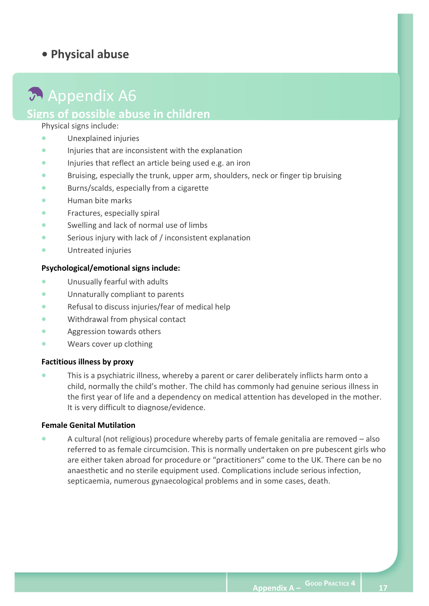#### **• Physical abuse**

# **A** Appendix A6

#### **Signs of possible abuse in children**

#### Physical signs include:

- Unexplained injuries
- Injuries that are inconsistent with the explanation
- Injuries that reflect an article being used e.g. an iron
- **•** Bruising, especially the trunk, upper arm, shoulders, neck or finger tip bruising
- Burns/scalds, especially from a cigarette
- Human bite marks
- Fractures, especially spiral
- Swelling and lack of normal use of limbs
- Serious injury with lack of / inconsistent explanation
- Untreated injuries

#### **Psychological/emotional signs include:**

- Unusually fearful with adults
- Unnaturally compliant to parents
- Refusal to discuss injuries/fear of medical help
- Withdrawal from physical contact
- Aggression towards others
- Wears cover up clothing

#### **Factitious illness by proxy**

• This is a psychiatric illness, whereby a parent or carer deliberately inflicts harm onto a child, normally the child's mother. The child has commonly had genuine serious illness in the first year of life and a dependency on medical attention has developed in the mother. It is very difficult to diagnose/evidence.

#### **Female Genital Mutilation**

• A cultural (not religious) procedure whereby parts of female genitalia are removed – also referred to as female circumcision. This is normally undertaken on pre pubescent girls who are either taken abroad for procedure or "practitioners" come to the UK. There can be no anaesthetic and no sterile equipment used. Complications include serious infection, septicaemia, numerous gynaecological problems and in some cases, death.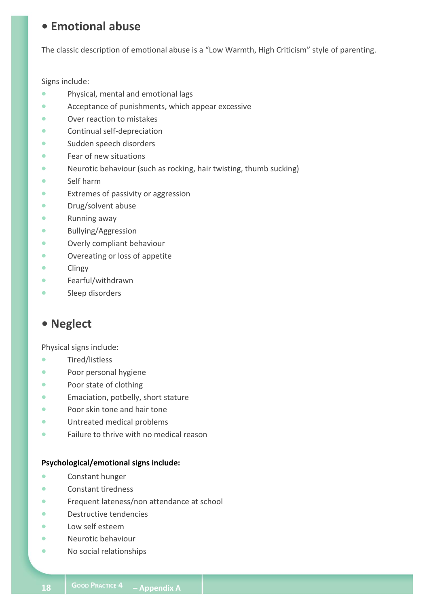#### **• Emotional abuse**

The classic description of emotional abuse is a "Low Warmth, High Criticism" style of parenting.

Signs include:

- Physical, mental and emotional lags
- Acceptance of punishments, which appear excessive
- Over reaction to mistakes
- Continual self-depreciation
- Sudden speech disorders
- Fear of new situations
- Neurotic behaviour (such as rocking, hair twisting, thumb sucking)
- Self harm
- Extremes of passivity or aggression
- Drug/solvent abuse
- Running away
- Bullying/Aggression
- Overly compliant behaviour
- Overeating or loss of appetite
- Clingy
- Fearful/withdrawn
- Sleep disorders

#### **• Neglect**

Physical signs include:

- Tired/listless
- Poor personal hygiene
- Poor state of clothing
- **•** Emaciation, potbelly, short stature
- Poor skin tone and hair tone
- Untreated medical problems
- Failure to thrive with no medical reason

#### **Psychological/emotional signs include:**

- Constant hunger
- Constant tiredness
- **•** Frequent lateness/non attendance at school
- Destructive tendencies
- Low self esteem
- Neurotic behaviour
- No social relationships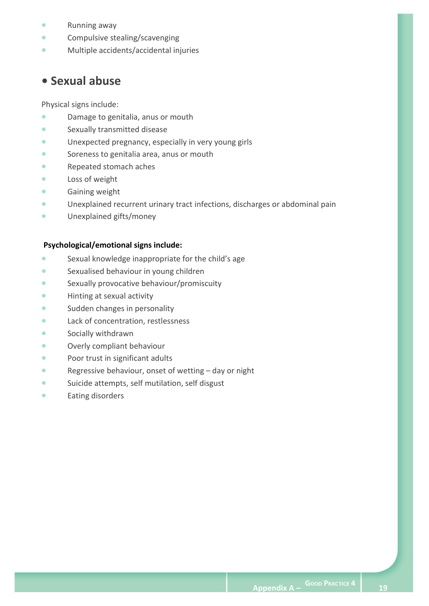- Running away
- Compulsive stealing/scavenging
- Multiple accidents/accidental injuries

#### **• Sexual abuse**

Physical signs include:

- Damage to genitalia, anus or mouth
- Sexually transmitted disease
- Unexpected pregnancy, especially in very young girls
- Soreness to genitalia area, anus or mouth
- Repeated stomach aches
- Loss of weight
- Gaining weight
- Unexplained recurrent urinary tract infections, discharges or abdominal pain
- Unexplained gifts/money

#### **Psychological/emotional signs include:**

- Sexual knowledge inappropriate for the child's age
- Sexualised behaviour in young children
- Sexually provocative behaviour/promiscuity
- Hinting at sexual activity
- Sudden changes in personality
- Lack of concentration, restlessness
- Socially withdrawn
- Overly compliant behaviour
- Poor trust in significant adults
- Regressive behaviour, onset of wetting day or night
- Suicide attempts, self mutilation, self disgust
- Eating disorders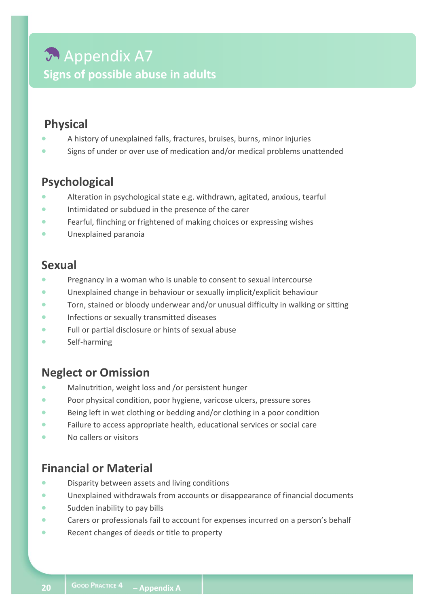## **A** Appendix A7 **Signs of possible abuse in adults**

### **Physical**

- A history of unexplained falls, fractures, bruises, burns, minor injuries
- Signs of under or over use of medication and/or medical problems unattended

### **Psychological**

- Alteration in psychological state e.g. withdrawn, agitated, anxious, tearful
- Intimidated or subdued in the presence of the carer
- Fearful, flinching or frightened of making choices or expressing wishes
- Unexplained paranoia

#### **Sexual**

- Pregnancy in a woman who is unable to consent to sexual intercourse
- Unexplained change in behaviour or sexually implicit/explicit behaviour
- Torn, stained or bloody underwear and/or unusual difficulty in walking or sitting
- Infections or sexually transmitted diseases
- Full or partial disclosure or hints of sexual abuse
- Self-harming

### **Neglect or Omission**

- Malnutrition, weight loss and /or persistent hunger
- Poor physical condition, poor hygiene, varicose ulcers, pressure sores
- Being left in wet clothing or bedding and/or clothing in a poor condition
- Failure to access appropriate health, educational services or social care
- No callers or visitors

### **Financial or Material**

- Disparity between assets and living conditions
- Unexplained withdrawals from accounts or disappearance of financial documents
- Sudden inability to pay bills
- Carers or professionals fail to account for expenses incurred on a person's behalf
- Recent changes of deeds or title to property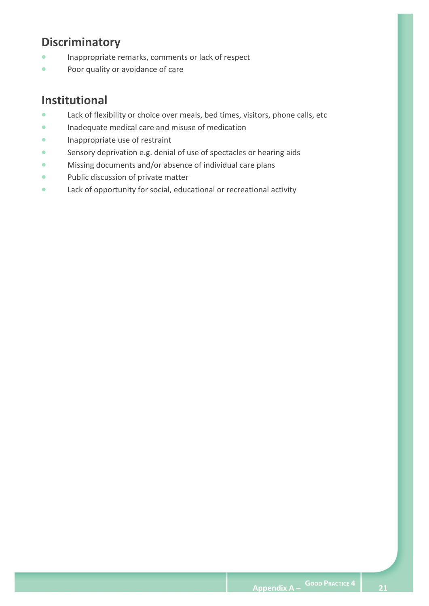## **Discriminatory**

- Inappropriate remarks, comments or lack of respect
- Poor quality or avoidance of care

#### **Institutional**

- Lack of flexibility or choice over meals, bed times, visitors, phone calls, etc
- Inadequate medical care and misuse of medication
- Inappropriate use of restraint
- **•** Sensory deprivation e.g. denial of use of spectacles or hearing aids
- Missing documents and/or absence of individual care plans
- Public discussion of private matter
- Lack of opportunity for social, educational or recreational activity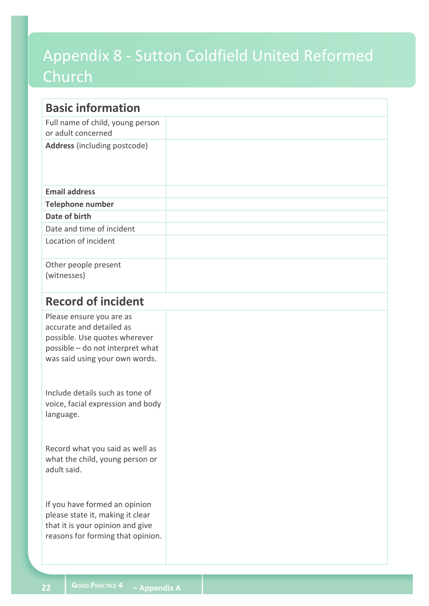# Appendix 8 - Sutton Coldfield United Reformed Church

| <b>Basic information</b>                                          |  |  |  |  |
|-------------------------------------------------------------------|--|--|--|--|
| Full name of child, young person                                  |  |  |  |  |
| or adult concerned                                                |  |  |  |  |
| Address (including postcode)                                      |  |  |  |  |
| <b>Email address</b>                                              |  |  |  |  |
| <b>Telephone number</b>                                           |  |  |  |  |
| Date of birth                                                     |  |  |  |  |
| Date and time of incident                                         |  |  |  |  |
| Location of incident                                              |  |  |  |  |
| Other people present<br>(witnesses)                               |  |  |  |  |
|                                                                   |  |  |  |  |
| <b>Record of incident</b>                                         |  |  |  |  |
| Please ensure you are as                                          |  |  |  |  |
| accurate and detailed as                                          |  |  |  |  |
| possible. Use quotes wherever<br>possible - do not interpret what |  |  |  |  |
| was said using your own words.                                    |  |  |  |  |
|                                                                   |  |  |  |  |
| Include details such as tone of                                   |  |  |  |  |
| voice, facial expression and body                                 |  |  |  |  |
| language.                                                         |  |  |  |  |
|                                                                   |  |  |  |  |
|                                                                   |  |  |  |  |
| Record what you said as well as                                   |  |  |  |  |

Record what you said as well as what the child, young person or adult said.

If you have formed an opinion please state it, making it clear that it is your opinion and give reasons for forming that opinion.